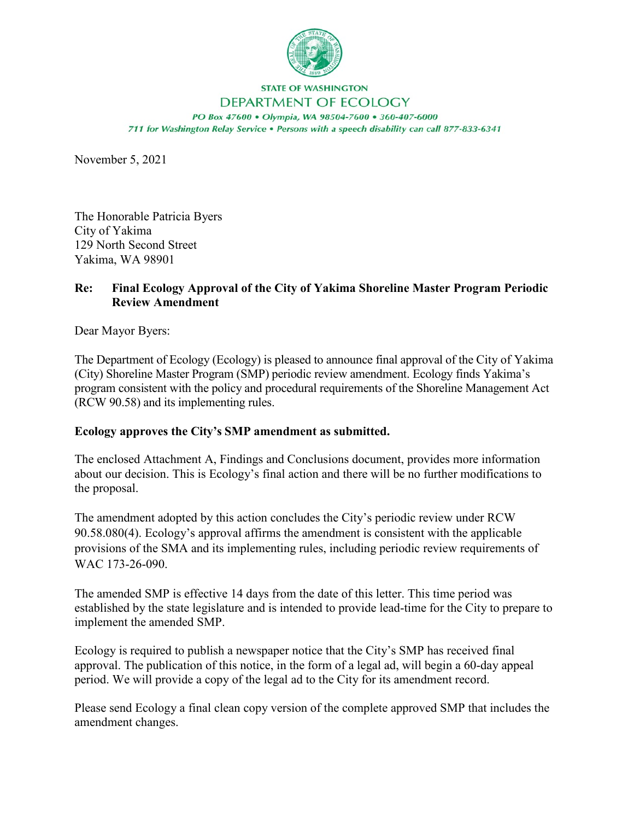

## **STATE OF WASHINGTON** DEPARTMENT OF ECOLOGY

PO Box 47600 · Olympia, WA 98504-7600 · 360-407-6000 711 for Washington Relay Service . Persons with a speech disability can call 877-833-6341

November 5, 2021

The Honorable Patricia Byers City of Yakima 129 North Second Street Yakima, WA 98901

## **Re: Final Ecology Approval of the City of Yakima Shoreline Master Program Periodic Review Amendment**

Dear Mayor Byers:

The Department of Ecology (Ecology) is pleased to announce final approval of the City of Yakima (City) Shoreline Master Program (SMP) periodic review amendment. Ecology finds Yakima's program consistent with the policy and procedural requirements of the Shoreline Management Act (RCW 90.58) and its implementing rules.

## **Ecology approves the City's SMP amendment as submitted.**

The enclosed Attachment A, Findings and Conclusions document, provides more information about our decision. This is Ecology's final action and there will be no further modifications to the proposal.

The amendment adopted by this action concludes the City's periodic review under RCW 90.58.080(4). Ecology's approval affirms the amendment is consistent with the applicable provisions of the SMA and its implementing rules, including periodic review requirements of WAC 173-26-090.

The amended SMP is effective 14 days from the date of this letter. This time period was established by the state legislature and is intended to provide lead-time for the City to prepare to implement the amended SMP.

Ecology is required to publish a newspaper notice that the City's SMP has received final approval. The publication of this notice, in the form of a legal ad, will begin a 60-day appeal period. We will provide a copy of the legal ad to the City for its amendment record.

Please send Ecology a final clean copy version of the complete approved SMP that includes the amendment changes.